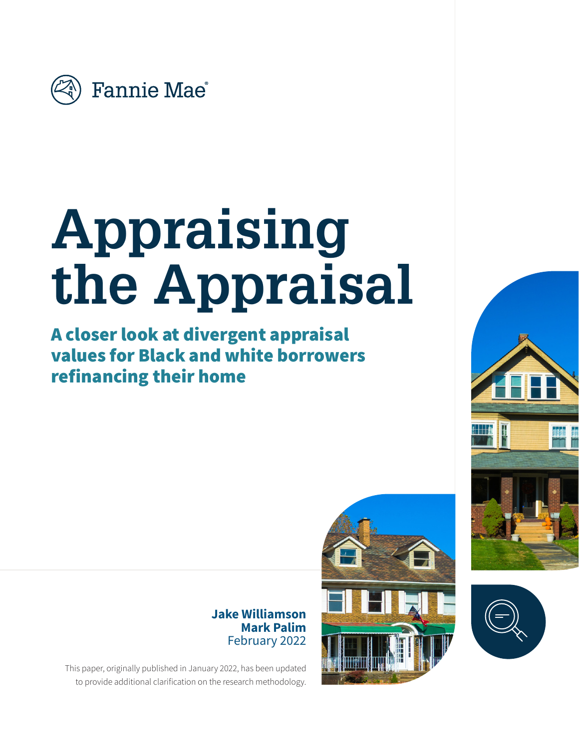

# **Appraising the Appraisal**

A closer look at divergent appraisal values for Black and white borrowers refinancing their home

> **Jake Williamson Mark Palim** February 2022







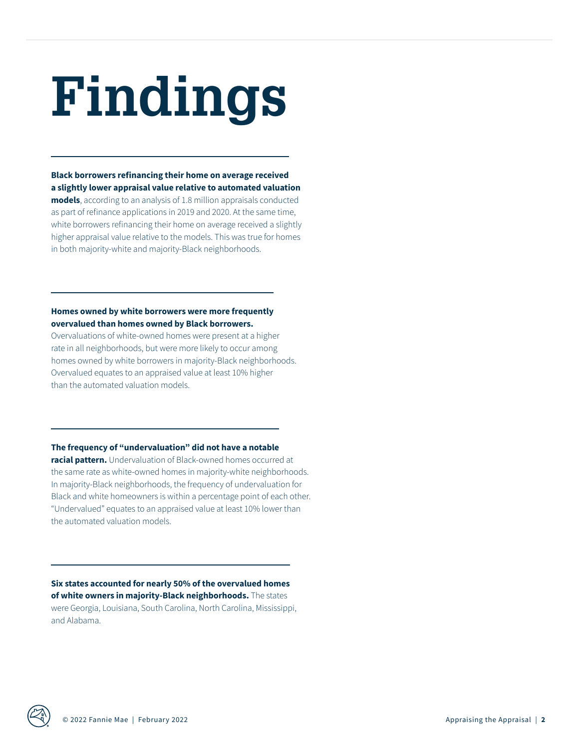# **Findings**

**Black borrowers refinancing their home on average received a slightly lower appraisal value relative to automated valuation models**, according to an analysis of 1.8 million appraisals conducted as part of refinance applications in 2019 and 2020. At the same time, white borrowers refinancing their home on average received a slightly higher appraisal value relative to the models. This was true for homes in both majority-white and majority-Black neighborhoods.

#### **Homes owned by white borrowers were more frequently overvalued than homes owned by Black borrowers.**

Overvaluations of white-owned homes were present at a higher rate in all neighborhoods, but were more likely to occur among homes owned by white borrowers in majority-Black neighborhoods. Overvalued equates to an appraised value at least 10% higher than the automated valuation models.

**The frequency of "undervaluation" did not have a notable** 

**racial pattern.** Undervaluation of Black-owned homes occurred at the same rate as white-owned homes in majority-white neighborhoods. In majority-Black neighborhoods, the frequency of undervaluation for Black and white homeowners is within a percentage point of each other. "Undervalued" equates to an appraised value at least 10% lower than the automated valuation models.

**Six states accounted for nearly 50% of the overvalued homes of white owners in majority-Black neighborhoods.** The states were Georgia, Louisiana, South Carolina, North Carolina, Mississippi, and Alabama.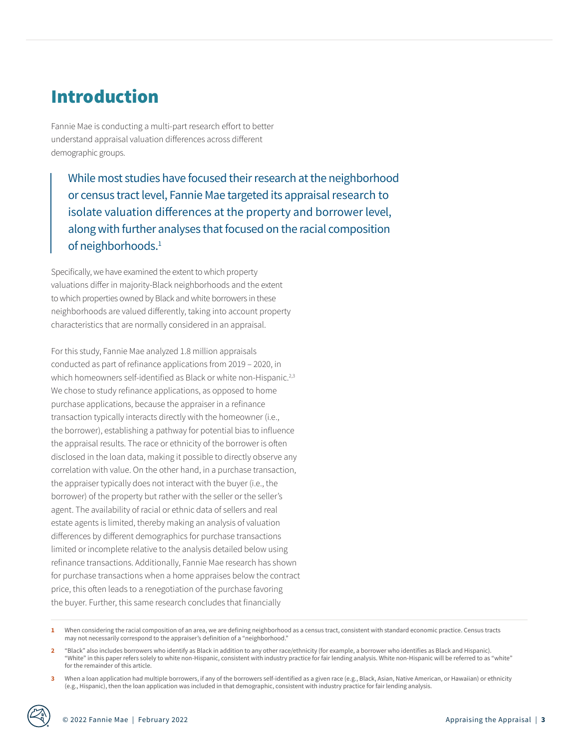## Introduction

Fannie Mae is conducting a multi-part research effort to better understand appraisal valuation differences across different demographic groups.

While most studies have focused their research at the neighborhood or census tract level, Fannie Mae targeted its appraisal research to isolate valuation differences at the property and borrower level, along with further analyses that focused on the racial composition of neighborhoods.<sup>1</sup>

Specifically, we have examined the extent to which property valuations differ in majority-Black neighborhoods and the extent to which properties owned by Black and white borrowers in these neighborhoods are valued differently, taking into account property characteristics that are normally considered in an appraisal.

For this study, Fannie Mae analyzed 1.8 million appraisals conducted as part of refinance applications from 2019 – 2020, in which homeowners self-identified as Black or white non-Hispanic.<sup>2,3</sup> We chose to study refinance applications, as opposed to home purchase applications, because the appraiser in a refinance transaction typically interacts directly with the homeowner (i.e., the borrower), establishing a pathway for potential bias to influence the appraisal results. The race or ethnicity of the borrower is often disclosed in the loan data, making it possible to directly observe any correlation with value. On the other hand, in a purchase transaction, the appraiser typically does not interact with the buyer (i.e., the borrower) of the property but rather with the seller or the seller's agent. The availability of racial or ethnic data of sellers and real estate agents is limited, thereby making an analysis of valuation differences by different demographics for purchase transactions limited or incomplete relative to the analysis detailed below using refinance transactions. Additionally, Fannie Mae research has shown for purchase transactions when a home appraises below the contract price, this often leads to a renegotiation of the purchase favoring the buyer. Further, this same research concludes that financially

**<sup>1</sup>** When considering the racial composition of an area, we are defining neighborhood as a census tract, consistent with standard economic practice. Census tracts may not necessarily correspond to the appraiser's definition of a "neighborhood."

**<sup>2</sup>** "Black" also includes borrowers who identify as Black in addition to any other race/ethnicity (for example, a borrower who identifies as Black and Hispanic). "White" in this paper refers solely to white non-Hispanic, consistent with industry practice for fair lending analysis. White non-Hispanic will be referred to as "white" for the remainder of this article.

When a loan application had multiple borrowers, if any of the borrowers self-identified as a given race (e.g., Black, Asian, Native American, or Hawaiian) or ethnicity (e.g., Hispanic), then the loan application was included in that demographic, consistent with industry practice for fair lending analysis.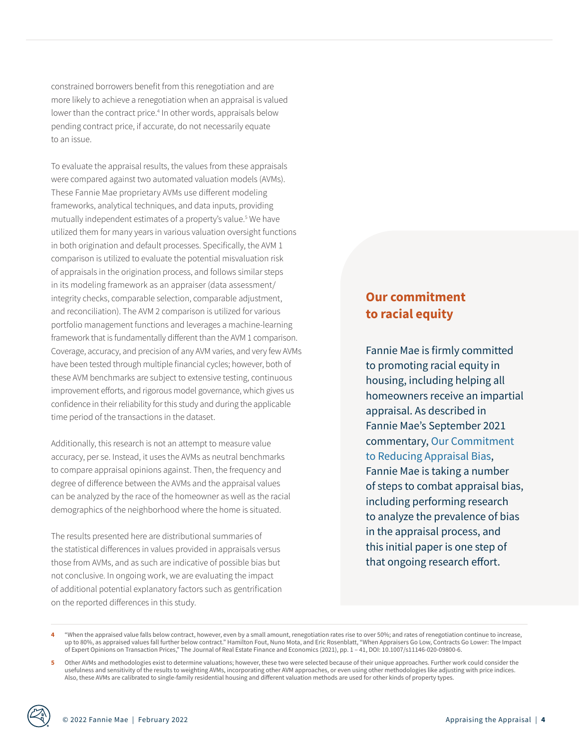constrained borrowers benefit from this renegotiation and are more likely to achieve a renegotiation when an appraisal is valued lower than the contract price.<sup>4</sup> In other words, appraisals below pending contract price, if accurate, do not necessarily equate to an issue.

To evaluate the appraisal results, the values from these appraisals were compared against two automated valuation models (AVMs). These Fannie Mae proprietary AVMs use different modeling frameworks, analytical techniques, and data inputs, providing mutually independent estimates of a property's value.<sup>5</sup> We have utilized them for many years in various valuation oversight functions in both origination and default processes. Specifically, the AVM 1 comparison is utilized to evaluate the potential misvaluation risk of appraisals in the origination process, and follows similar steps in its modeling framework as an appraiser (data assessment/ integrity checks, comparable selection, comparable adjustment, and reconciliation). The AVM 2 comparison is utilized for various portfolio management functions and leverages a machine-learning framework that is fundamentally different than the AVM 1 comparison. Coverage, accuracy, and precision of any AVM varies, and very few AVMs have been tested through multiple financial cycles; however, both of these AVM benchmarks are subject to extensive testing, continuous improvement efforts, and rigorous model governance, which gives us confidence in their reliability for this study and during the applicable time period of the transactions in the dataset.

Additionally, this research is not an attempt to measure value accuracy, per se. Instead, it uses the AVMs as neutral benchmarks to compare appraisal opinions against. Then, the frequency and degree of difference between the AVMs and the appraisal values can be analyzed by the race of the homeowner as well as the racial demographics of the neighborhood where the home is situated.

The results presented here are distributional summaries of the statistical differences in values provided in appraisals versus those from AVMs, and as such are indicative of possible bias but not conclusive. In ongoing work, we are evaluating the impact of additional potential explanatory factors such as gentrification on the reported differences in this study.

## **Our commitment to racial equity**

Fannie Mae is firmly committed to promoting racial equity in housing, including helping all homeowners receive an impartial appraisal. As described in Fannie Mae's September 2021 commentary, [Our Commitment](https://www.fanniemae.com/research-and-insights/perspectives/our-commitment-reducing-appraisal-bias)  [to Reducing Appraisal Bias](https://www.fanniemae.com/research-and-insights/perspectives/our-commitment-reducing-appraisal-bias), Fannie Mae is taking a number of steps to combat appraisal bias, including performing research to analyze the prevalence of bias in the appraisal process, and this initial paper is one step of that ongoing research effort.

**<sup>4</sup>** "When the appraised value falls below contract, however, even by a small amount, renegotiation rates rise to over 50%; and rates of renegotiation continue to increase, up to 80%, as appraised values fall further below contract." Hamilton Fout, Nuno Mota, and Eric Rosenblatt, "When Appraisers Go Low, Contracts Go Lower: The Impact of Expert Opinions on Transaction Prices," The Journal of Real Estate Finance and Economics (2021), pp. 1 – 41, DOI: 10.1007/s11146-020-09800-6.

<sup>5</sup> Other AVMs and methodologies exist to determine valuations; however, these two were selected because of their unique approaches. Further work could consider the usefulness and sensitivity of the results to weighting AVMs, incorporating other AVM approaches, or even using other methodologies like adjusting with price indices. Also, these AVMs are calibrated to single-family residential housing and different valuation methods are used for other kinds of property types.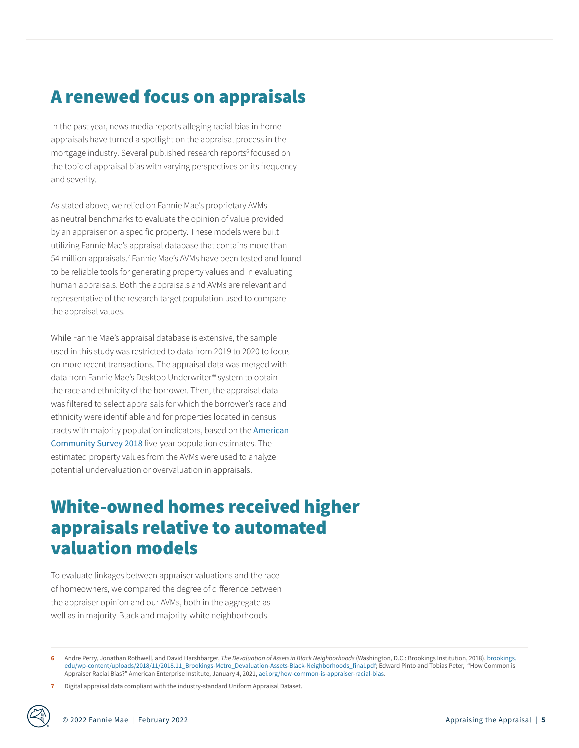# A renewed focus on appraisals

In the past year, news media reports alleging racial bias in home appraisals have turned a spotlight on the appraisal process in the mortgage industry. Several published research reports<sup>6</sup> focused on the topic of appraisal bias with varying perspectives on its frequency and severity.

As stated above, we relied on Fannie Mae's proprietary AVMs as neutral benchmarks to evaluate the opinion of value provided by an appraiser on a specific property. These models were built utilizing Fannie Mae's appraisal database that contains more than 54 million appraisals.<sup>7</sup> Fannie Mae's AVMs have been tested and found to be reliable tools for generating property values and in evaluating human appraisals. Both the appraisals and AVMs are relevant and representative of the research target population used to compare the appraisal values.

While Fannie Mae's appraisal database is extensive, the sample used in this study was restricted to data from 2019 to 2020 to focus on more recent transactions. The appraisal data was merged with data from Fannie Mae's Desktop Underwriter® system to obtain the race and ethnicity of the borrower. Then, the appraisal data was filtered to select appraisals for which the borrower's race and ethnicity were identifiable and for properties located in census tracts with majority population indicators, based on the [American](https://www.census.gov/programs-surveys/acs/data.html)  [Community Survey 2018](https://www.census.gov/programs-surveys/acs/data.html) five-year population estimates. The estimated property values from the AVMs were used to analyze potential undervaluation or overvaluation in appraisals.

## White-owned homes received higher appraisals relative to automated valuation models

To evaluate linkages between appraiser valuations and the race of homeowners, we compared the degree of difference between the appraiser opinion and our AVMs, both in the aggregate as well as in majority-Black and majority-white neighborhoods.

**<sup>6</sup>** Andre Perry, Jonathan Rothwell, and David Harshbarger, *The Devaluation of Assets in Black Neighborhoods* (Washington, D.C.: Brookings Institution, 2018), [brookings.](https://www.brookings.edu/wp-content/uploads/2018/11/2018.11_Brookings-Metro_Devaluation-Assets-Black-Neighborhoods_final.pdf) [edu/wp-content/uploads/2018/11/2018.11\\_Brookings-Metro\\_Devaluation-Assets-Black-Neighborhoods\\_final.pdf;](https://www.brookings.edu/wp-content/uploads/2018/11/2018.11_Brookings-Metro_Devaluation-Assets-Black-Neighborhoods_final.pdf) Edward Pinto and Tobias Peter, "How Common is Appraiser Racial Bias?" American Enterprise Institute, January 4, 2021, [aei.org/how-common-is-appraiser-racial-bias](https://www.aei.org/how-common-is-appraiser-racial-bias/).

**<sup>7</sup>** Digital appraisal data compliant with the industry-standard Uniform Appraisal Dataset.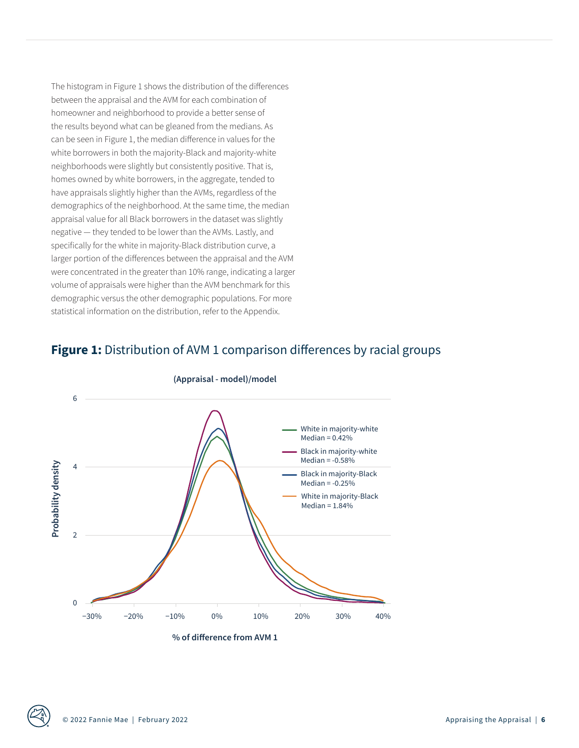The histogram in Figure 1 shows the distribution of the differences between the appraisal and the AVM for each combination of homeowner and neighborhood to provide a better sense of the results beyond what can be gleaned from the medians. As can be seen in Figure 1, the median difference in values for the white borrowers in both the majority-Black and majority-white neighborhoods were slightly but consistently positive. That is, homes owned by white borrowers, in the aggregate, tended to have appraisals slightly higher than the AVMs, regardless of the demographics of the neighborhood. At the same time, the median appraisal value for all Black borrowers in the dataset was slightly negative — they tended to be lower than the AVMs. Lastly, and specifically for the white in majority-Black distribution curve, a larger portion of the differences between the appraisal and the AVM were concentrated in the greater than 10% range, indicating a larger volume of appraisals were higher than the AVM benchmark for this demographic versus the other demographic populations. For more statistical information on the distribution, refer to the Appendix.

## **Figure 1:** Distribution of AVM 1 comparison differences by racial groups



#### **(Appraisal - model)/model**

**% of difference from AVM 1**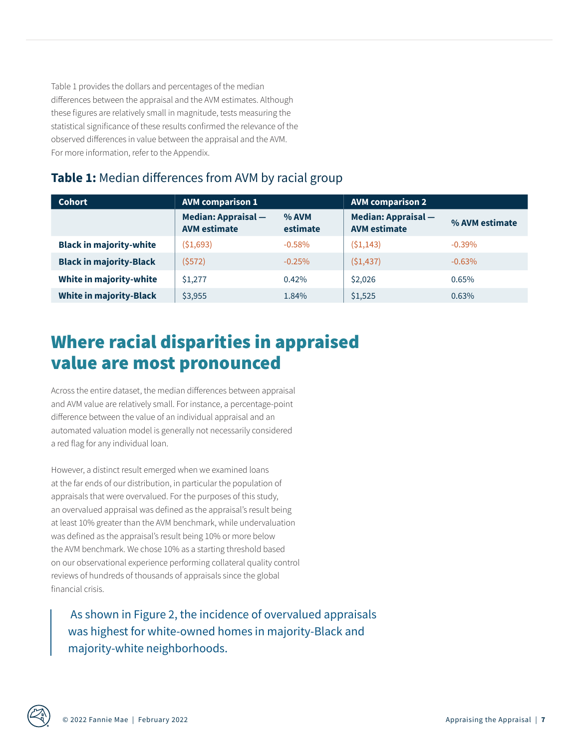Table 1 provides the dollars and percentages of the median differences between the appraisal and the AVM estimates. Although these figures are relatively small in magnitude, tests measuring the statistical significance of these results confirmed the relevance of the observed differences in value between the appraisal and the AVM. For more information, refer to the Appendix.

## **Table 1:** Median differences from AVM by racial group

| <b>Cohort</b>                  | <b>AVM comparison 1</b>                           |                     | <b>AVM comparison 2</b>                           |                |
|--------------------------------|---------------------------------------------------|---------------------|---------------------------------------------------|----------------|
|                                | <b>Median: Appraisal -</b><br><b>AVM estimate</b> | $%$ AVM<br>estimate | <b>Median: Appraisal -</b><br><b>AVM</b> estimate | % AVM estimate |
| <b>Black in majority-white</b> | (51,693)                                          | $-0.58\%$           | (51, 143)                                         | $-0.39\%$      |
| <b>Black in majority-Black</b> | (\$572)                                           | $-0.25%$            | (51, 437)                                         | $-0.63%$       |
| White in majority-white        | \$1,277                                           | 0.42%               | \$2,026                                           | 0.65%          |
| <b>White in majority-Black</b> | \$3,955                                           | 1.84%               | \$1,525                                           | 0.63%          |

# Where racial disparities in appraised value are most pronounced

Across the entire dataset, the median differences between appraisal and AVM value are relatively small. For instance, a percentage-point difference between the value of an individual appraisal and an automated valuation model is generally not necessarily considered a red flag for any individual loan.

However, a distinct result emerged when we examined loans at the far ends of our distribution, in particular the population of appraisals that were overvalued. For the purposes of this study, an overvalued appraisal was defined as the appraisal's result being at least 10% greater than the AVM benchmark, while undervaluation was defined as the appraisal's result being 10% or more below the AVM benchmark. We chose 10% as a starting threshold based on our observational experience performing collateral quality control reviews of hundreds of thousands of appraisals since the global financial crisis.

 As shown in Figure 2, the incidence of overvalued appraisals was highest for white-owned homes in majority-Black and majority-white neighborhoods.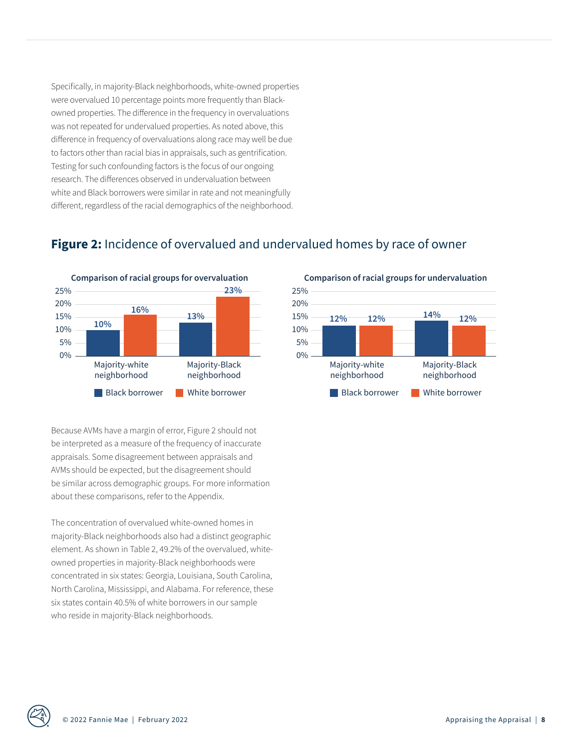Specifically, in majority-Black neighborhoods, white-owned properties were overvalued 10 percentage points more frequently than Blackowned properties. The difference in the frequency in overvaluations was not repeated for undervalued properties. As noted above, this difference in frequency of overvaluations along race may well be due to factors other than racial bias in appraisals, such as gentrification. Testing for such confounding factors is the focus of our ongoing research. The differences observed in undervaluation between white and Black borrowers were similar in rate and not meaningfully different, regardless of the racial demographics of the neighborhood.

## **Figure 2:** Incidence of overvalued and undervalued homes by race of owner



Because AVMs have a margin of error, Figure 2 should not be interpreted as a measure of the frequency of inaccurate appraisals. Some disagreement between appraisals and AVMs should be expected, but the disagreement should be similar across demographic groups. For more information about these comparisons, refer to the Appendix.

The concentration of overvalued white-owned homes in majority-Black neighborhoods also had a distinct geographic element. As shown in Table 2, 49.2% of the overvalued, whiteowned properties in majority-Black neighborhoods were concentrated in six states: Georgia, Louisiana, South Carolina, North Carolina, Mississippi, and Alabama. For reference, these six states contain 40.5% of white borrowers in our sample who reside in majority-Black neighborhoods.



#### **Comparison of racial groups for undervaluation**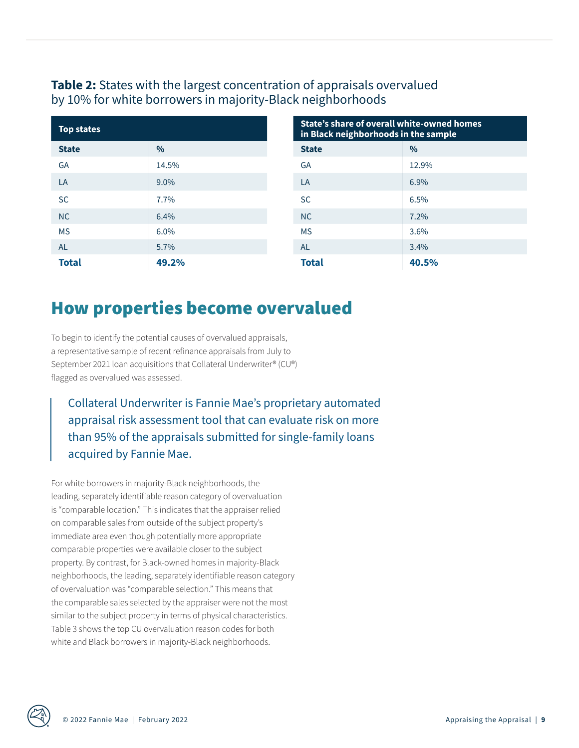### **Table 2:** States with the largest concentration of appraisals overvalued by 10% for white borrowers in majority-Black neighborhoods

| <b>Top states</b> |               | <b>State's share of overall white-owned homes</b><br>in Black neighborhoods in the sample |               |  |
|-------------------|---------------|-------------------------------------------------------------------------------------------|---------------|--|
| <b>State</b>      | $\frac{0}{0}$ | <b>State</b>                                                                              | $\frac{0}{0}$ |  |
| <b>GA</b>         | 14.5%         | GA                                                                                        | 12.9%         |  |
| LA                | $9.0\%$       | LA                                                                                        | 6.9%          |  |
| <b>SC</b>         | 7.7%          | <b>SC</b>                                                                                 | 6.5%          |  |
| <b>NC</b>         | 6.4%          | <b>NC</b>                                                                                 | 7.2%          |  |
| <b>MS</b>         | 6.0%          | <b>MS</b>                                                                                 | 3.6%          |  |
| <b>AL</b>         | 5.7%          | <b>AL</b>                                                                                 | 3.4%          |  |
| <b>Total</b>      | 49.2%         | <b>Total</b>                                                                              | 40.5%         |  |

| State's share of overall white-owned homes<br>in Black neighborhoods in the sample |       |  |  |
|------------------------------------------------------------------------------------|-------|--|--|
| <b>State</b>                                                                       | $\%$  |  |  |
| GA                                                                                 | 12.9% |  |  |
| LA                                                                                 | 6.9%  |  |  |
| SC.                                                                                | 6.5%  |  |  |
| NC                                                                                 | 7.2%  |  |  |
| <b>MS</b>                                                                          | 3.6%  |  |  |
| <b>AL</b><br>3.4%                                                                  |       |  |  |
| <b>Total</b><br>40.5%                                                              |       |  |  |

## How properties become overvalued

To begin to identify the potential causes of overvalued appraisals, a representative sample of recent refinance appraisals from July to September 2021 loan acquisitions that Collateral Underwriter® (CU®) flagged as overvalued was assessed.

Collateral Underwriter is Fannie Mae's proprietary automated appraisal risk assessment tool that can evaluate risk on more than 95% of the appraisals submitted for single-family loans acquired by Fannie Mae.

For white borrowers in majority-Black neighborhoods, the leading, separately identifiable reason category of overvaluation is "comparable location." This indicates that the appraiser relied on comparable sales from outside of the subject property's immediate area even though potentially more appropriate comparable properties were available closer to the subject property. By contrast, for Black-owned homes in majority-Black neighborhoods, the leading, separately identifiable reason category of overvaluation was "comparable selection." This means that the comparable sales selected by the appraiser were not the most similar to the subject property in terms of physical characteristics. Table 3 shows the top CU overvaluation reason codes for both white and Black borrowers in majority-Black neighborhoods.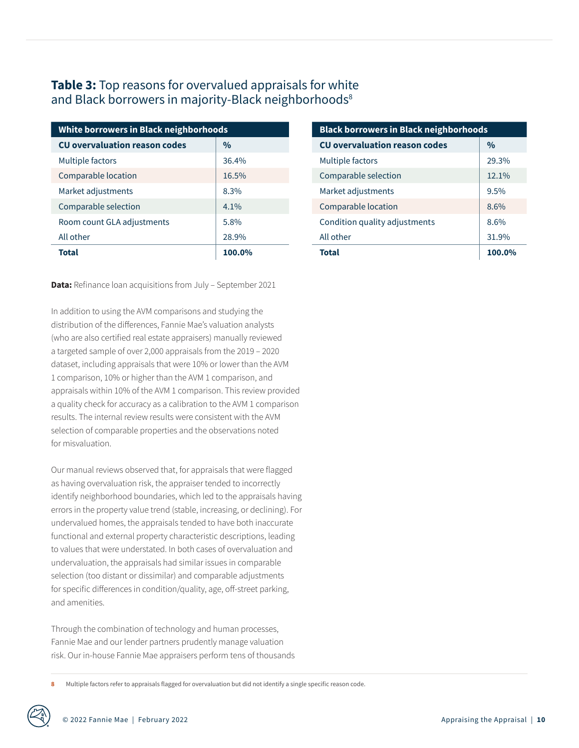### **Table 3:** Top reasons for overvalued appraisals for white and Black borrowers in majority-Black neighborhoods<sup>8</sup>

| White borrowers in Black neighborhoods |               | <b>Black borrowers in Black neighborhoods</b> |               |  |
|----------------------------------------|---------------|-----------------------------------------------|---------------|--|
| <b>CU overvaluation reason codes</b>   | $\frac{0}{0}$ | <b>CU overvaluation reason codes</b>          | $\frac{0}{0}$ |  |
| Multiple factors                       | 36.4%         | Multiple factors                              | 29.3%         |  |
| Comparable location                    | 16.5%         | Comparable selection                          | 12.1%         |  |
| Market adjustments                     | 8.3%          | Market adjustments                            | 9.5%          |  |
| Comparable selection                   | $4.1\%$       | Comparable location                           | 8.6%          |  |
| Room count GLA adjustments             | 5.8%          | Condition quality adjustments                 | 8.6%          |  |
| All other                              | 28.9%         | All other                                     | 31.9%         |  |
| <b>Total</b>                           | 100.0%        | <b>Total</b>                                  | 100.0%        |  |

**Data:** Refinance loan acquisitions from July – September 2021

In addition to using the AVM comparisons and studying the distribution of the differences, Fannie Mae's valuation analysts (who are also certified real estate appraisers) manually reviewed a targeted sample of over 2,000 appraisals from the 2019 – 2020 dataset, including appraisals that were 10% or lower than the AVM 1 comparison, 10% or higher than the AVM 1 comparison, and appraisals within 10% of the AVM 1 comparison. This review provided a quality check for accuracy as a calibration to the AVM 1 comparison results. The internal review results were consistent with the AVM selection of comparable properties and the observations noted for misvaluation.

Our manual reviews observed that, for appraisals that were flagged as having overvaluation risk, the appraiser tended to incorrectly identify neighborhood boundaries, which led to the appraisals having errors in the property value trend (stable, increasing, or declining). For undervalued homes, the appraisals tended to have both inaccurate functional and external property characteristic descriptions, leading to values that were understated. In both cases of overvaluation and undervaluation, the appraisals had similar issues in comparable selection (too distant or dissimilar) and comparable adjustments for specific differences in condition/quality, age, off-street parking, and amenities.

Through the combination of technology and human processes, Fannie Mae and our lender partners prudently manage valuation risk. Our in-house Fannie Mae appraisers perform tens of thousands

**8** Multiple factors refer to appraisals flagged for overvaluation but did not identify a single specific reason code.

| <b>Black borrowers in Black neighborhoods</b> |               |  |  |  |
|-----------------------------------------------|---------------|--|--|--|
| <b>CU</b> overvaluation reason codes          | $\frac{0}{0}$ |  |  |  |
| Multiple factors                              | 29.3%         |  |  |  |
| Comparable selection                          | 12.1%         |  |  |  |
| Market adjustments                            | 9.5%          |  |  |  |
| Comparable location                           | 8.6%          |  |  |  |
| Condition quality adjustments                 | 8.6%          |  |  |  |
| All other                                     | 31.9%         |  |  |  |
| Total                                         | 100.0%        |  |  |  |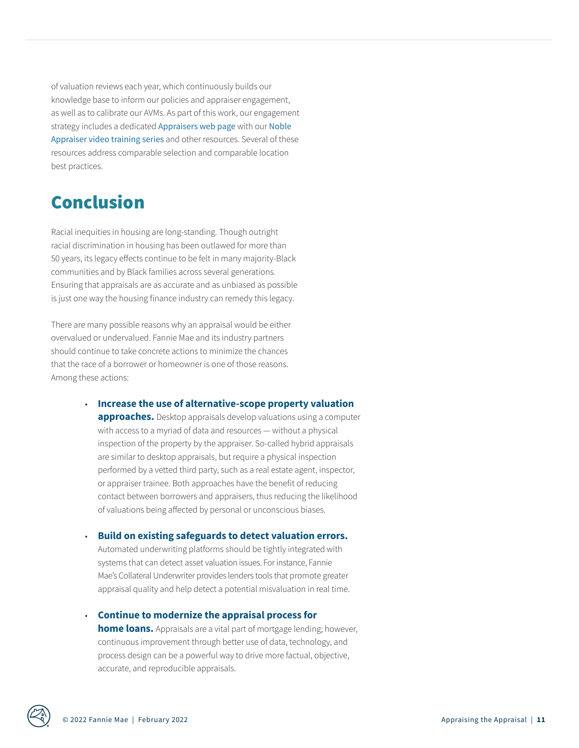of valuation reviews each year, which continuously builds our knowledge base to inform our policies and appraiser engagement, as well as to calibrate our AVMs. As part of this work, our engagement strategy includes a dedicated [Appraisers web page](https://singlefamily.fanniemae.com/originating-underwriting/appraisers) with our [Noble](https://singlefamily.fanniemae.com/originating-underwriting/appraisers/noble-appraiser-video-series)  [Appraiser video training series](https://singlefamily.fanniemae.com/originating-underwriting/appraisers/noble-appraiser-video-series) and other resources. Several of these resources address comparable selection and comparable location best practices.

# Conclusion

Racial inequities in housing are long-standing. Though outright racial discrimination in housing has been outlawed for more than 50 years, its legacy effects continue to be felt in many majority-Black communities and by Black families across several generations. Ensuring that appraisals are as accurate and as unbiased as possible is just one way the housing finance industry can remedy this legacy.

There are many possible reasons why an appraisal would be either overvalued or undervalued. Fannie Mae and its industry partners should continue to take concrete actions to minimize the chances that the race of a borrower or homeowner is one of those reasons. Among these actions:

#### • **Increase the use of alternative-scope property valuation**

**approaches.** Desktop appraisals develop valuations using a computer with access to a myriad of data and resources — without a physical inspection of the property by the appraiser. So-called hybrid appraisals are similar to desktop appraisals, but require a physical inspection performed by a vetted third party, such as a real estate agent, inspector, or appraiser trainee. Both approaches have the benefit of reducing contact between borrowers and appraisers, thus reducing the likelihood of valuations being affected by personal or unconscious biases.

#### • **Build on existing safeguards to detect valuation errors.**

Automated underwriting platforms should be tightly integrated with systems that can detect asset valuation issues. For instance, Fannie Mae's Collateral Underwriter provides lenders tools that promote greater appraisal quality and help detect a potential misvaluation in real time.

• **Continue to modernize the appraisal process for** 

**home loans.** Appraisals are a vital part of mortgage lending; however, continuous improvement through better use of data, technology, and process design can be a powerful way to drive more factual, objective, accurate, and reproducible appraisals.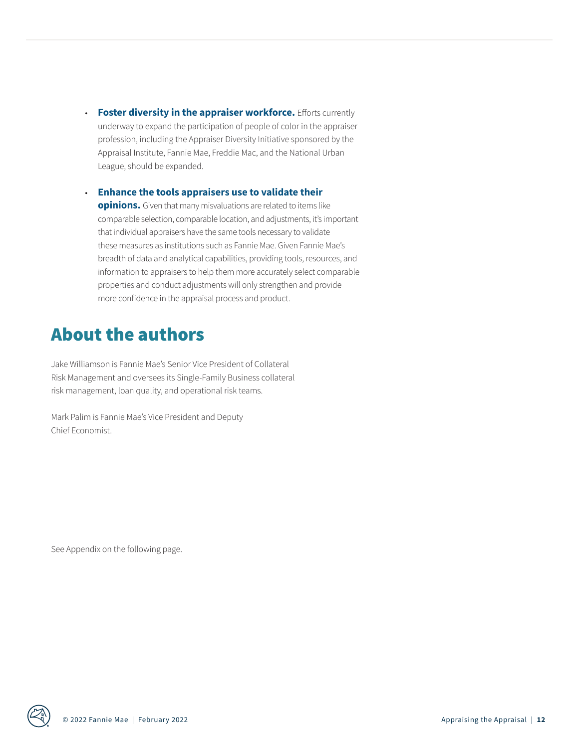• **Foster diversity in the appraiser workforce.** Efforts currently underway to expand the participation of people of color in the appraiser profession, including the Appraiser Diversity Initiative sponsored by the Appraisal Institute, Fannie Mae, Freddie Mac, and the National Urban League, should be expanded.

• **Enhance the tools appraisers use to validate their** 

**opinions.** Given that many misvaluations are related to items like comparable selection, comparable location, and adjustments, it's important that individual appraisers have the same tools necessary to validate these measures as institutions such as Fannie Mae. Given Fannie Mae's breadth of data and analytical capabilities, providing tools, resources, and information to appraisers to help them more accurately select comparable properties and conduct adjustments will only strengthen and provide more confidence in the appraisal process and product.

## About the authors

Jake Williamson is Fannie Mae's Senior Vice President of Collateral Risk Management and oversees its Single-Family Business collateral risk management, loan quality, and operational risk teams.

Mark Palim is Fannie Mae's Vice President and Deputy Chief Economist.

See Appendix on the following page.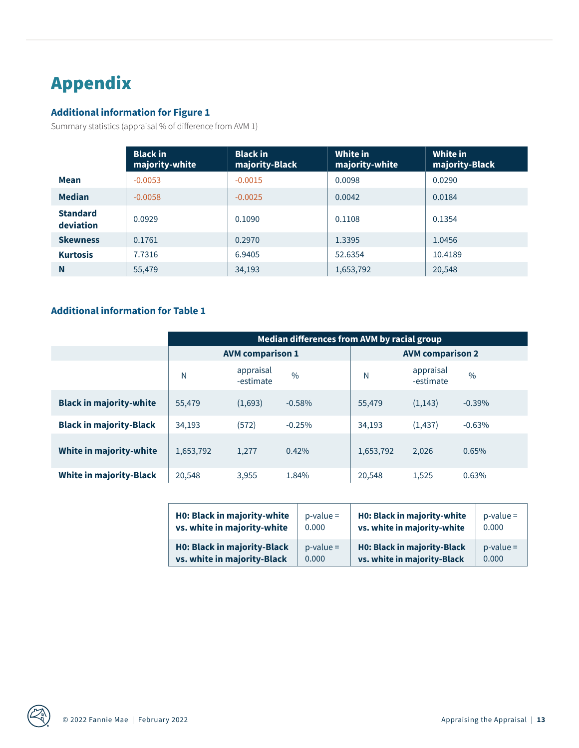# Appendix

#### **Additional information for Figure 1**

Summary statistics (appraisal % of difference from AVM 1)

|                              | <b>Black in</b><br>majority-white | <b>Black in</b><br>majority-Black | White in<br>majority-white | White in<br>majority-Black |
|------------------------------|-----------------------------------|-----------------------------------|----------------------------|----------------------------|
| <b>Mean</b>                  | $-0.0053$                         | $-0.0015$                         | 0.0098                     | 0.0290                     |
| <b>Median</b>                | $-0.0058$                         | $-0.0025$                         | 0.0042                     | 0.0184                     |
| <b>Standard</b><br>deviation | 0.0929                            | 0.1090                            | 0.1108                     | 0.1354                     |
| <b>Skewness</b>              | 0.1761                            | 0.2970                            | 1.3395                     | 1.0456                     |
| <b>Kurtosis</b>              | 7.7316                            | 6.9405                            | 52.6354                    | 10.4189                    |
| N                            | 55,479                            | 34,193                            | 1,653,792                  | 20,548                     |

#### **Additional information for Table 1**

|                                | Median differences from AVM by racial group |                        |               |                         |                        |           |
|--------------------------------|---------------------------------------------|------------------------|---------------|-------------------------|------------------------|-----------|
|                                | <b>AVM comparison 1</b>                     |                        |               | <b>AVM comparison 2</b> |                        |           |
|                                | N                                           | appraisal<br>-estimate | $\frac{0}{0}$ | N                       | appraisal<br>-estimate | $\%$      |
| <b>Black in majority-white</b> | 55,479                                      | (1,693)                | $-0.58%$      | 55,479                  | (1, 143)               | $-0.39\%$ |
| <b>Black in majority-Black</b> | 34,193                                      | (572)                  | $-0.25%$      | 34,193                  | (1, 437)               | $-0.63%$  |
| White in majority-white        | 1,653,792                                   | 1,277                  | 0.42%         | 1,653,792               | 2,026                  | 0.65%     |
| <b>White in majority-Black</b> | 20,548                                      | 3,955                  | 1.84%         | 20,548                  | 1,525                  | 0.63%     |

| <b>H0: Black in majority-white</b> | $p-value =$ | <b>H0: Black in majority-white</b> | $p-value =$ |
|------------------------------------|-------------|------------------------------------|-------------|
| vs. white in majority-white        | 0.000       | vs. white in majority-white        | 0.000       |
| <b>H0: Black in majority-Black</b> | $p-value =$ | <b>H0: Black in majority-Black</b> | $p-value =$ |
| vs. white in majority-Black        | 0.000       | vs. white in majority-Black        | 0.000       |